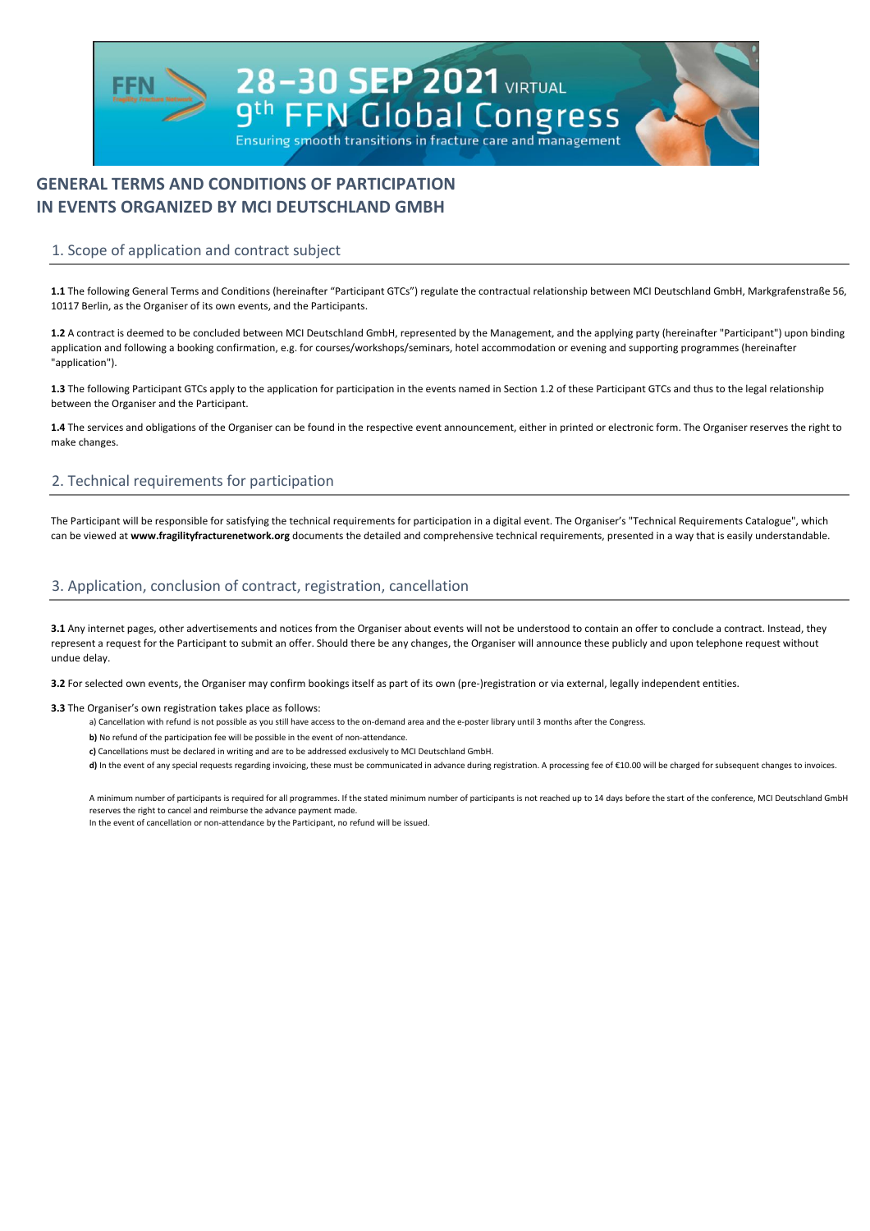A minimum number of participants is required for all programmes. If the stated minimum number of participants is not reached up to 14 days before the start of the conference, MCI Deutschland GmbH reserves the right to cancel and reimburse the advance payment made.

In the event of cancellation or non-attendance by the Participant, no refund will be issued.



# **GENERAL TERMS AND CONDITIONS OF PARTICIPATION IN EVENTS ORGANIZED BY MCI DEUTSCHLAND GMBH**

**3.1** Any internet pages, other advertisements and notices from the Organiser about events will not be understood to contain an offer to conclude a contract. Instead, they represent a request for the Participant to submit an offer. Should there be any changes, the Organiser will announce these publicly and upon telephone request without undue delay.

**3.2** For selected own events, the Organiser may confirm bookings itself as part of its own (pre-)registration or via external, legally independent entities.

# 1. Scope of application and contract subject

**1.1** The following General Terms and Conditions (hereinafter "Participant GTCs") regulate the contractual relationship between MCI Deutschland GmbH, Markgrafenstraße 56, 10117 Berlin, as the Organiser of its own events, and the Participants.

**1.2** A contract is deemed to be concluded between MCI Deutschland GmbH, represented by the Management, and the applying party (hereinafter "Participant") upon binding application and following a booking confirmation, e.g. for courses/workshops/seminars, hotel accommodation or evening and supporting programmes (hereinafter "application").

#### **3.3** The Organiser's own registration takes place as follows:

- a) Cancellation with refund is not possible as you still have access to the on-demand area and the e-poster library until 3 months after the Congress.
- **b)** No refund of the participation fee will be possible in the event of non-attendance.
- **c)** Cancellations must be declared in writing and are to be addressed exclusively to MCI Deutschland GmbH.
- d) In the event of any special requests regarding invoicing, these must be communicated in advance during registration. A processing fee of €10.00 will be charged for subsequent changes to invoices.

# 3. Application, conclusion of contract, registration, cancellation

**1.3** The following Participant GTCs apply to the application for participation in the events named in Section 1.2 of these Participant GTCs and thus to the legal relationship between the Organiser and the Participant.

**1.4** The services and obligations of the Organiser can be found in the respective event announcement, either in printed or electronic form. The Organiser reserves the right to make changes.

# 2. Technical requirements for participation

The Participant will be responsible for satisfying the technical requirements for participation in a digital event. The Organiser's "Technical Requirements Catalogue", which can be viewed at **www.fragilityfracturenetwork.org** documents the detailed and comprehensive technical requirements, presented in a way that is easily understandable.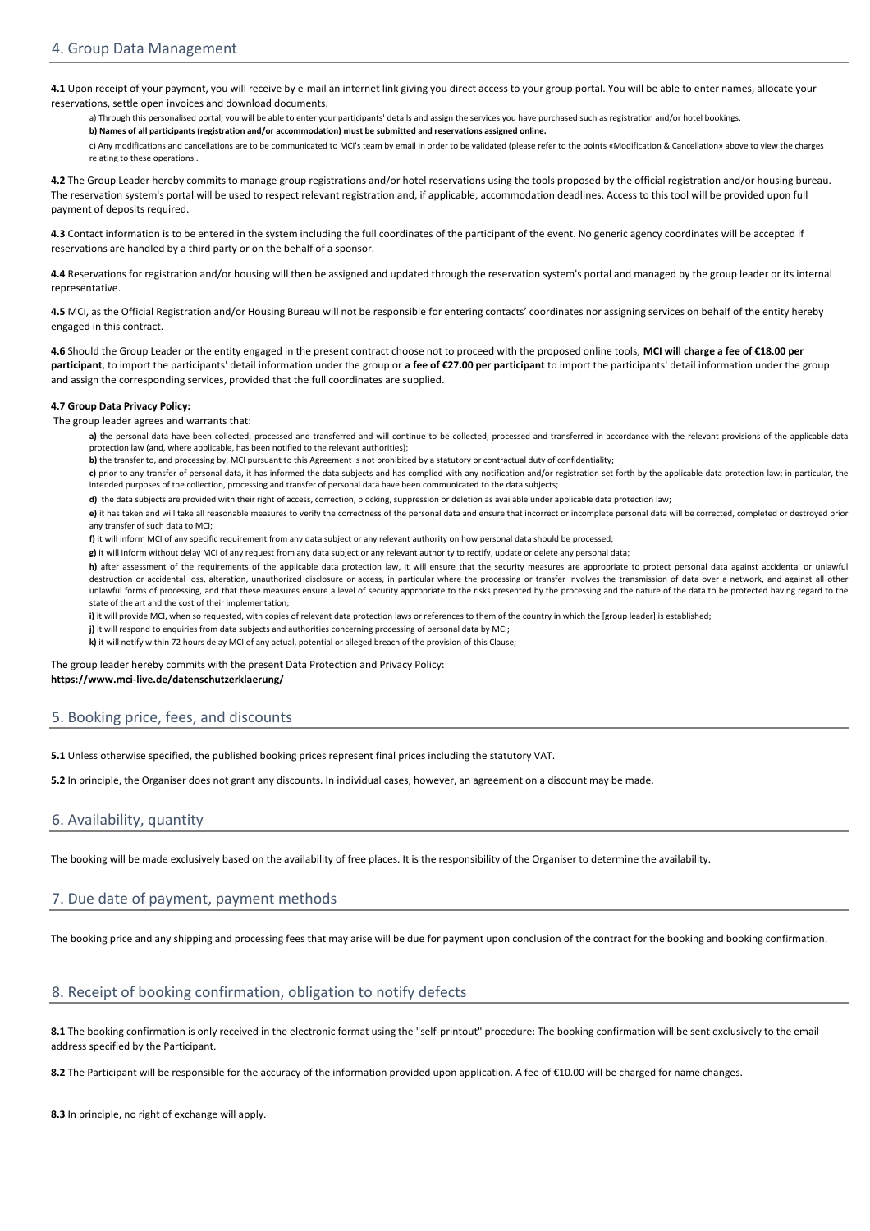a) Through this personalised portal, you will be able to enter your participants' details and assign the services you have purchased such as registration and/or hotel bookings.

**b) Names of all participants (registration and/or accommodation) must be submitted and reservations assigned online.**

a) the personal data have been collected, processed and transferred and will continue to be collected, processed and transferred in accordance with the relevant provisions of the applicable data protection law (and, where applicable, has been notified to the relevant authorities);

**b)** the transfer to, and processing by, MCI pursuant to this Agreement is not prohibited by a statutory or contractual duty of confidentiality;

c) Any modifications and cancellations are to be communicated to MCI's team by email in order to be validated (please refer to the points «Modification & Cancellation» above to view the charges relating to these operations .

c) prior to any transfer of personal data, it has informed the data subjects and has complied with any notification and/or registration set forth by the applicable data protection law; in particular, the intended purposes of the collection, processing and transfer of personal data have been communicated to the data subjects;

h) after assessment of the requirements of the applicable data protection law, it will ensure that the security measures are appropriate to protect personal data against accidental or unlawful destruction or accidental loss, alteration, unauthorized disclosure or access, in particular where the processing or transfer involves the transmission of data over a network, and against all other unlawful forms of processing, and that these measures ensure a level of security appropriate to the risks presented by the processing and the nature of the data to be protected having regard to the state of the art and the cost of their implementation;

i) it will provide MCI, when so requested, with copies of relevant data protection laws or references to them of the country in which the [group leader] is established;

**d)** the data subjects are provided with their right of access, correction, blocking, suppression or deletion as available under applicable data protection law;

**e)** it has taken and will take all reasonable measures to verify the correctness of the personal data and ensure that incorrect or incomplete personal data will be corrected, completed or destroyed prior any transfer of such data to MCI;

**f)** it will inform MCI of any specific requirement from any data subject or any relevant authority on how personal data should be processed;

**g)** it will inform without delay MCI of any request from any data subject or any relevant authority to rectify, update or delete any personal data;

**j)** it will respond to enquiries from data subjects and authorities concerning processing of personal data by MCI;

8.1 The booking confirmation is only received in the electronic format using the "self-printout" procedure: The booking confirmation will be sent exclusively to the email address specified by the Participant.

8.2 The Participant will be responsible for the accuracy of the information provided upon application. A fee of €10.00 will be charged for name changes.

**k)** it will notify within 72 hours delay MCI of any actual, potential or alleged breach of the provision of this Clause;

**5.1** Unless otherwise specified, the published booking prices represent final prices including the statutory VAT.

**4.1** Upon receipt of your payment, you will receive by e-mail an internet link giving you direct access to your group portal. You will be able to enter names, allocate your reservations, settle open invoices and download documents.

**4.2** The Group Leader hereby commits to manage group registrations and/or hotel reservations using the tools proposed by the official registration and/or housing bureau. The reservation system's portal will be used to respect relevant registration and, if applicable, accommodation deadlines. Access to this tool will be provided upon full payment of deposits required.

**4.3** Contact information is to be entered in the system including the full coordinates of the participant of the event. No generic agency coordinates will be accepted if reservations are handled by a third party or on the behalf of a sponsor.

**4.4** Reservations for registration and/or housing will then be assigned and updated through the reservation system's portal and managed by the group leader or its internal representative.

**4.5** MCI, as the Official Registration and/or Housing Bureau will not be responsible for entering contacts' coordinates nor assigning services on behalf of the entity hereby engaged in this contract.

**4.6** Should the Group Leader or the entity engaged in the present contract choose not to proceed with the proposed online tools, **MCI will charge a fee of €18.00 per**  participant, to import the participants' detail information under the group or a fee of €27.00 per participant to import the participants' detail information under the group and assign the corresponding services, provided that the full coordinates are supplied.

#### **4.7 Group Data Privacy Policy:**

The group leader agrees and warrants that:

[The grou](https://www.mci-live.de/datenschutzerklaerung/)p leader hereby commits with the present Data Protection and Privacy Policy: **[https://](https://www.mci-live.de/datenschutzerklaerung/)www.mci-live.de/datenschutzerklaerung/**

### 5. Booking price, fees, and discounts

**5.2** In principle, the Organiser does not grant any discounts. In individual cases, however, an agreement on a discount may be made.

### 6. Availability, quantity

The booking will be made exclusively based on the availability of free places. It is the responsibility of the Organiser to determine the availability.

# 7. Due date of payment, payment methods

The booking price and any shipping and processing fees that may arise will be due for payment upon conclusion of the contract for the booking and booking confirmation.

# 8. Receipt of booking confirmation, obligation to notify defects

**8.3** In principle, no right of exchange will apply.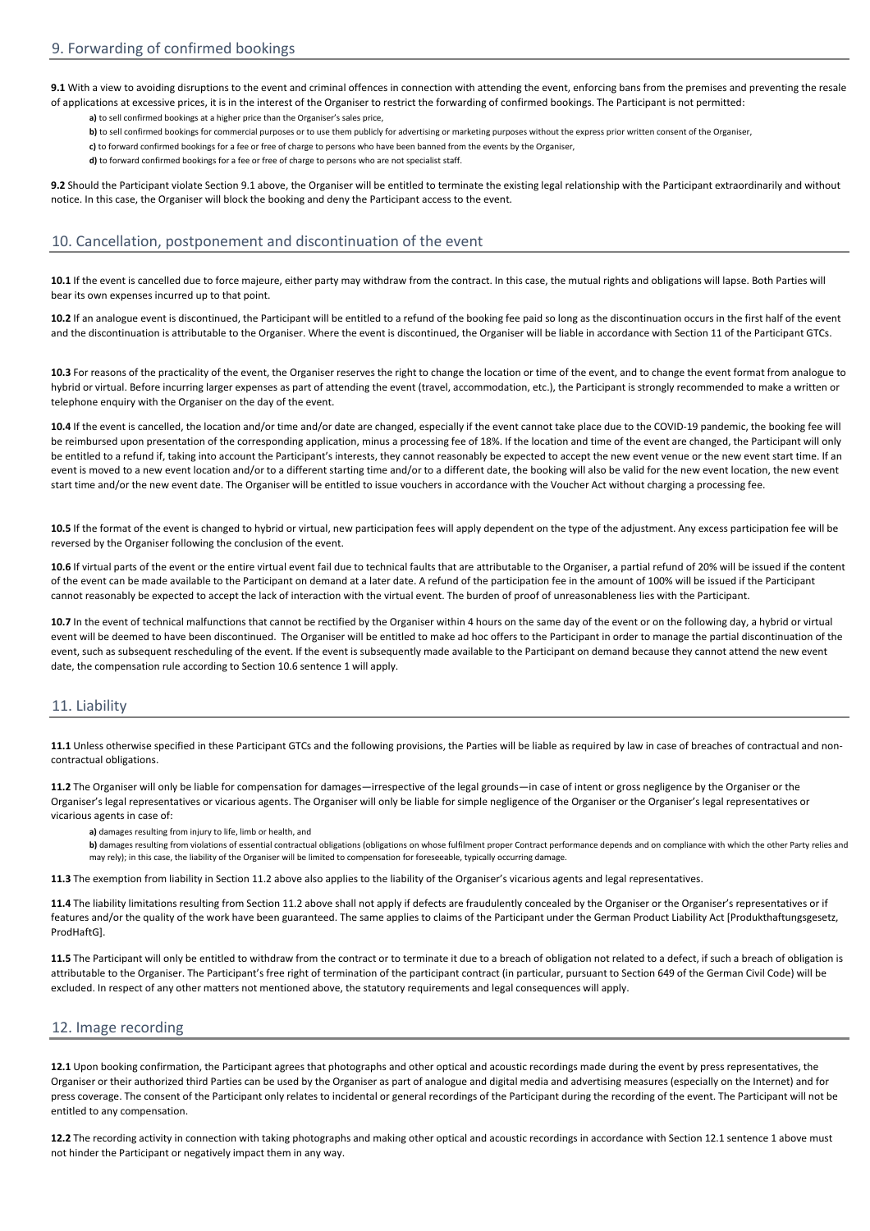**a)** to sell confirmed bookings at a higher price than the Organiser's sales price,

**b)** to sell confirmed bookings for commercial purposes or to use them publicly for advertising or marketing purposes without the express prior written consent of the Organiser,

**c)** to forward confirmed bookings for a fee or free of charge to persons who have been banned from the events by the Organiser,

**d)** to forward confirmed bookings for a fee or free of charge to persons who are not specialist staff.

b) damages resulting from violations of essential contractual obligations (obligations on whose fulfilment proper Contract performance depends and on compliance with which the other Party relies and may rely); in this case, the liability of the Organiser will be limited to compensation for foreseeable, typically occurring damage.

**a)** damages resulting from injury to life, limb or health, and

**10.4** If the event is cancelled, the location and/or time and/or date are changed, especially if the event cannot take place due to the COVID-19 pandemic, the booking fee will be reimbursed upon presentation of the corresponding application, minus a processing fee of 18%. If the location and time of the event are changed, the Participant will only be entitled to a refund if, taking into account the Participant's interests, they cannot reasonably be expected to accept the new event venue or the new event start time. If an event is moved to a new event location and/or to a different starting time and/or to a different date, the booking will also be valid for the new event location, the new event start time and/or the new event date. The Organiser will be entitled to issue vouchers in accordance with the Voucher Act without charging a processing fee.

**9.1** With a view to avoiding disruptions to the event and criminal offences in connection with attending the event, enforcing bans from the premises and preventing the resale of applications at excessive prices, it is in the interest of the Organiser to restrict the forwarding of confirmed bookings. The Participant is not permitted:

**10.5** If the format of the event is changed to hybrid or virtual, new participation fees will apply dependent on the type of the adjustment. Any excess participation fee will be reversed by the Organiser following the conclusion of the event.

**10.7** In the event of technical malfunctions that cannot be rectified by the Organiser within 4 hours on the same day of the event or on the following day, a hybrid or virtual event will be deemed to have been discontinued. The Organiser will be entitled to make ad hoc offers to the Participant in order to manage the partial discontinuation of the event, such as subsequent rescheduling of the event. If the event is subsequently made available to the Participant on demand because they cannot attend the new event date, the compensation rule according to Section 10.6 sentence 1 will apply.

**9.2** Should the Participant violate Section 9.1 above, the Organiser will be entitled to terminate the existing legal relationship with the Participant extraordinarily and without notice. In this case, the Organiser will block the booking and deny the Participant access to the event.

11.4 The liability limitations resulting from Section 11.2 above shall not apply if defects are fraudulently concealed by the Organiser or the Organiser's representatives or if features and/or the quality of the work have been guaranteed. The same applies to claims of the Participant under the German Product Liability Act [Produkthaftungsgesetz ProdHaftG].

**10.6** If virtual parts of the event or the entire virtual event fail due to technical faults that are attributable to the Organiser, a partial refund of 20% will be issued if the content of the event can be made available to the Participant on demand at a later date. A refund of the participation fee in the amount of 100% will be issued if the Participant cannot reasonably be expected to accept the lack of interaction with the virtual event. The burden of proof of unreasonableness lies with the Participant.

10.1 If the event is cancelled due to force majeure, either party may withdraw from the contract. In this case, the mutual rights and obligations will lapse. Both Parties will bear its own expenses incurred up to that point.

### 11. Liability

**11.1** Unless otherwise specified in these Participant GTCs and the following provisions, the Parties will be liable as required by law in case of breaches of contractual and noncontractual obligations.

**11.2** The Organiser will only be liable for compensation for damages—irrespective of the legal grounds—in case of intent or gross negligence by the Organiser or the Organiser's legal representatives or vicarious agents. The Organiser will only be liable for simple negligence of the Organiser or the Organiser's legal representatives or vicarious agents in case of:

**11.5** The Participant will only be entitled to withdraw from the contract or to terminate it due to a breach of obligation not related to a defect, if such a breach of obligation is attributable to the Organiser. The Participant's free right of termination of the participant contract (in particular, pursuant to Section 649 of the German Civil Code) will be excluded. In respect of any other matters not mentioned above, the statutory requirements and legal consequences will apply.

#### 12. Image recording

**12.1** Upon booking confirmation, the Participant agrees that photographs and other optical and acoustic recordings made during the event by press representatives, the Organiser or their authorized third Parties can be used by the Organiser as part of analogue and digital media and advertising measures (especially on the Internet) and for press coverage. The consent of the Participant only relates to incidental or general recordings of the Participant during the recording of the event. The Participant will not be entitled to any compensation.

**12.2** The recording activity in connection with taking photographs and making other optical and acoustic recordings in accordance with Section 12.1 sentence 1 above must not hinder the Participant or negatively impact them in any way.

**11.3** The exemption from liability in Section 11.2 above also applies to the liability of the Organiser's vicarious agents and legal representatives.

### 10. Cancellation, postponement and discontinuation of the event

**10.2** If an analogue event is discontinued, the Participant will be entitled to a refund of the booking fee paid so long as the discontinuation occurs in the first half of the event and the discontinuation is attributable to the Organiser. Where the event is discontinued, the Organiser will be liable in accordance with Section 11 of the Participant GTCs.

**10.3** For reasons of the practicality of the event, the Organiser reserves the right to change the location or time of the event, and to change the event format from analogue to hybrid or virtual. Before incurring larger expenses as part of attending the event (travel, accommodation, etc.), the Participant is strongly recommended to make a written or telephone enquiry with the Organiser on the day of the event.